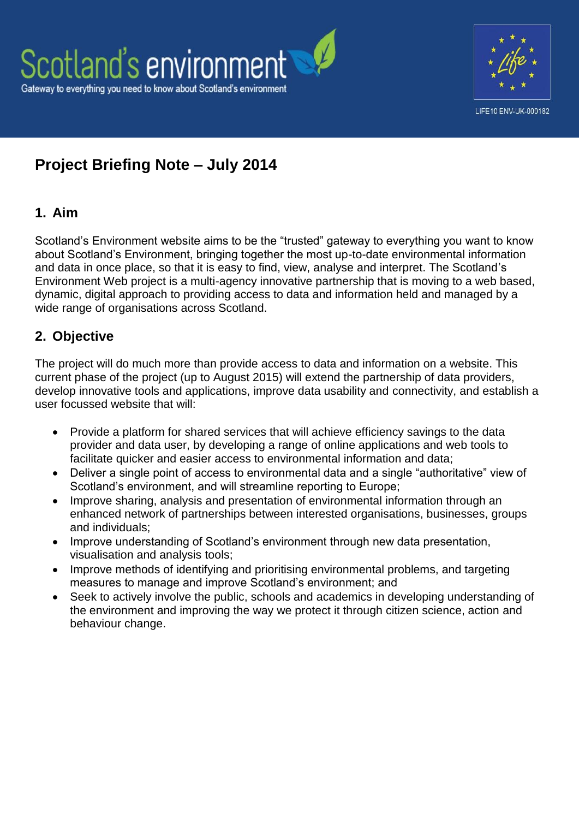



# **Project Briefing Note – July 2014**

# **1. Aim**

Scotland's Environment website aims to be the "trusted" gateway to everything you want to know about Scotland's Environment, bringing together the most up-to-date environmental information and data in once place, so that it is easy to find, view, analyse and interpret. The Scotland's Environment Web project is a multi-agency innovative partnership that is moving to a web based, dynamic, digital approach to providing access to data and information held and managed by a wide range of organisations across Scotland.

# **2. Objective**

The project will do much more than provide access to data and information on a website. This current phase of the project (up to August 2015) will extend the partnership of data providers, develop innovative tools and applications, improve data usability and connectivity, and establish a user focussed website that will:

- Provide a platform for shared services that will achieve efficiency savings to the data provider and data user, by developing a range of online applications and web tools to facilitate quicker and easier access to environmental information and data;
- Deliver a single point of access to environmental data and a single "authoritative" view of Scotland's environment, and will streamline reporting to Europe;
- Improve sharing, analysis and presentation of environmental information through an enhanced network of partnerships between interested organisations, businesses, groups and individuals;
- Improve understanding of Scotland's environment through new data presentation, visualisation and analysis tools;
- Improve methods of identifying and prioritising environmental problems, and targeting measures to manage and improve Scotland's environment; and
- Seek to actively involve the public, schools and academics in developing understanding of the environment and improving the way we protect it through citizen science, action and behaviour change.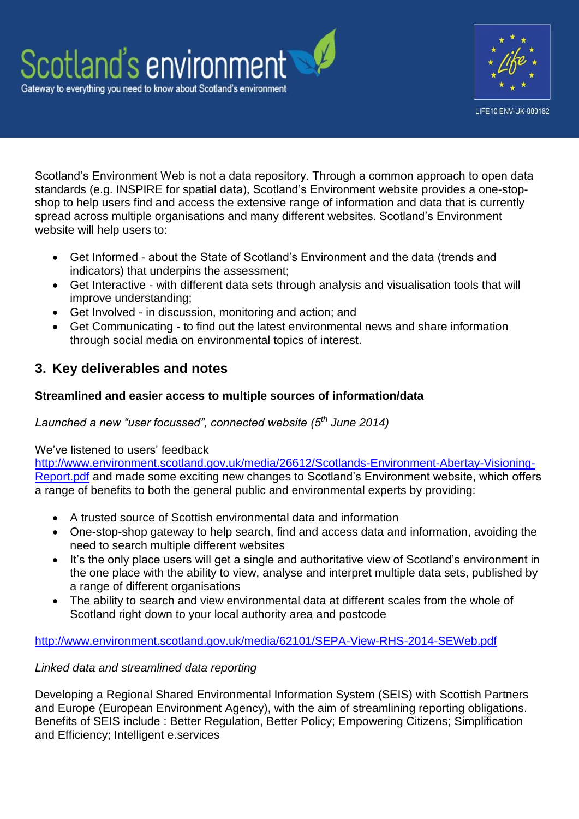



Scotland's Environment Web is not a data repository. Through a common approach to open data standards (e.g. INSPIRE for spatial data), Scotland's Environment website provides a one-stopshop to help users find and access the extensive range of information and data that is currently spread across multiple organisations and many different websites. Scotland's Environment website will help users to:

- Get Informed about the State of Scotland's Environment and the data (trends and indicators) that underpins the assessment;
- Get Interactive with different data sets through analysis and visualisation tools that will improve understanding;
- Get Involved in discussion, monitoring and action; and
- Get Communicating to find out the latest environmental news and share information through social media on environmental topics of interest.

# **3. Key deliverables and notes**

# **Streamlined and easier access to multiple sources of information/data**

*Launched a new "user focussed", connected website (5th June 2014)* 

# We've listened to users' feedback

[http://www.environment.scotland.gov.uk/media/26612/Scotlands-Environment-Abertay-Visioning-](http://www.environment.scotland.gov.uk/media/26612/Scotlands-Environment-Abertay-Visioning-Report.pdf)[Report.pdf](http://www.environment.scotland.gov.uk/media/26612/Scotlands-Environment-Abertay-Visioning-Report.pdf) and made some exciting new changes to Scotland's Environment website, which offers a range of benefits to both the general public and environmental experts by providing:

- A trusted source of Scottish environmental data and information
- One-stop-shop gateway to help search, find and access data and information, avoiding the need to search multiple different websites
- It's the only place users will get a single and authoritative view of Scotland's environment in the one place with the ability to view, analyse and interpret multiple data sets, published by a range of different organisations
- The ability to search and view environmental data at different scales from the whole of Scotland right down to your local authority area and postcode

# <http://www.environment.scotland.gov.uk/media/62101/SEPA-View-RHS-2014-SEWeb.pdf>

# *Linked data and streamlined data reporting*

Developing a Regional Shared Environmental Information System (SEIS) with Scottish Partners and Europe (European Environment Agency), with the aim of streamlining reporting obligations. Benefits of SEIS include : Better Regulation, Better Policy; Empowering Citizens; Simplification and Efficiency; Intelligent e.services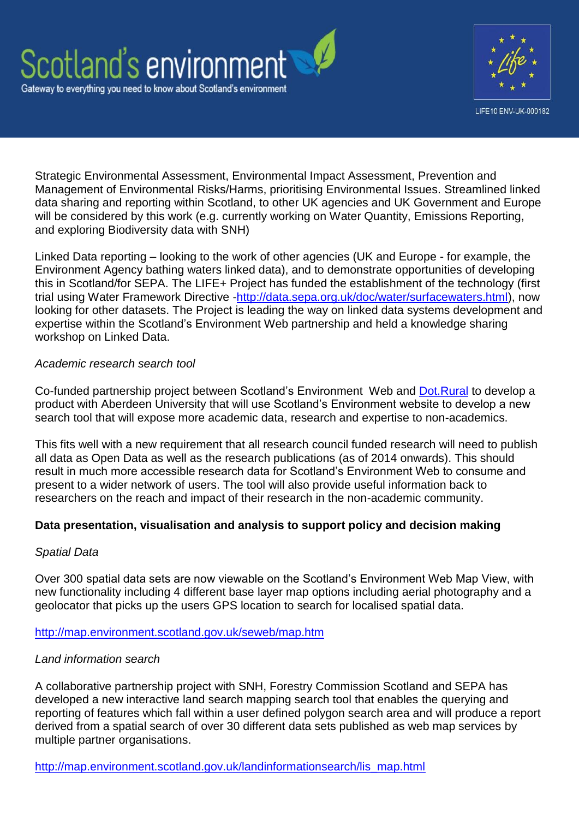



Strategic Environmental Assessment, Environmental Impact Assessment, Prevention and Management of Environmental Risks/Harms, prioritising Environmental Issues. Streamlined linked data sharing and reporting within Scotland, to other UK agencies and UK Government and Europe will be considered by this work (e.g. currently working on Water Quantity, Emissions Reporting, and exploring Biodiversity data with SNH)

Linked Data reporting – looking to the work of other agencies (UK and Europe - for example, the Environment Agency bathing waters linked data), and to demonstrate opportunities of developing this in Scotland/for SEPA. The LIFE+ Project has funded the establishment of the technology (first trial using Water Framework Directive [-http://data.sepa.org.uk/doc/water/surfacewaters.html\)](http://data.sepa.org.uk/doc/water/surfacewaters.html), now looking for other datasets. The Project is leading the way on linked data systems development and expertise within the Scotland's Environment Web partnership and held a knowledge sharing workshop on Linked Data.

#### *Academic research search tool*

Co-funded partnership project between Scotland's Environment Web and [Dot.Rural](http://www.dotrural.ac.uk/dotrural/) to develop a product with Aberdeen University that will use Scotland's Environment website to develop a new search tool that will expose more academic data, research and expertise to non-academics.

This fits well with a new requirement that all research council funded research will need to publish all data as Open Data as well as the research publications (as of 2014 onwards). This should result in much more accessible research data for Scotland's Environment Web to consume and present to a wider network of users. The tool will also provide useful information back to researchers on the reach and impact of their research in the non-academic community.

# **Data presentation, visualisation and analysis to support policy and decision making**

#### *Spatial Data*

Over 300 spatial data sets are now viewable on the Scotland's Environment Web Map View, with new functionality including 4 different base layer map options including aerial photography and a geolocator that picks up the users GPS location to search for localised spatial data.

#### <http://map.environment.scotland.gov.uk/seweb/map.htm>

#### *Land information search*

A collaborative partnership project with SNH, Forestry Commission Scotland and SEPA has developed a new interactive land search mapping search tool that enables the querying and reporting of features which fall within a user defined polygon search area and will produce a report derived from a spatial search of over 30 different data sets published as web map services by multiple partner organisations.

[http://map.environment.scotland.gov.uk/landinformationsearch/lis\\_map.html](http://map.environment.scotland.gov.uk/landinformationsearch/lis_map.html)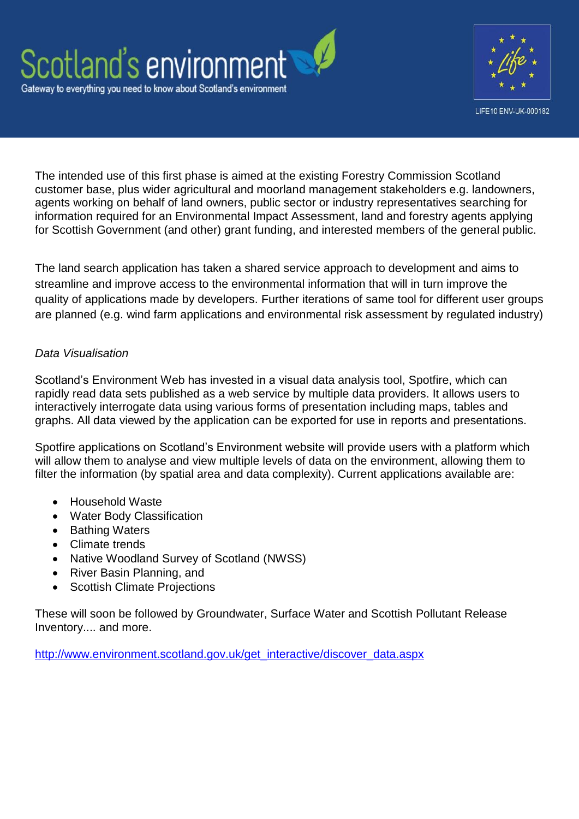



The intended use of this first phase is aimed at the existing Forestry Commission Scotland customer base, plus wider agricultural and moorland management stakeholders e.g. landowners, agents working on behalf of land owners, public sector or industry representatives searching for information required for an Environmental Impact Assessment, land and forestry agents applying for Scottish Government (and other) grant funding, and interested members of the general public.

The land search application has taken a shared service approach to development and aims to streamline and improve access to the environmental information that will in turn improve the quality of applications made by developers. Further iterations of same tool for different user groups are planned (e.g. wind farm applications and environmental risk assessment by regulated industry)

# *Data Visualisation*

Scotland's Environment Web has invested in a visual data analysis tool, Spotfire, which can rapidly read data sets published as a web service by multiple data providers. It allows users to interactively interrogate data using various forms of presentation including maps, tables and graphs. All data viewed by the application can be exported for use in reports and presentations.

Spotfire applications on Scotland's Environment website will provide users with a platform which will allow them to analyse and view multiple levels of data on the environment, allowing them to filter the information (by spatial area and data complexity). Current applications available are:

- Household Waste
- Water Body Classification
- Bathing Waters
- Climate trends
- Native Woodland Survey of Scotland (NWSS)
- River Basin Planning, and
- Scottish Climate Projections

These will soon be followed by Groundwater, Surface Water and Scottish Pollutant Release Inventory.... and more.

[http://www.environment.scotland.gov.uk/get\\_interactive/discover\\_data.aspx](http://www.environment.scotland.gov.uk/get_interactive/discover_data.aspx)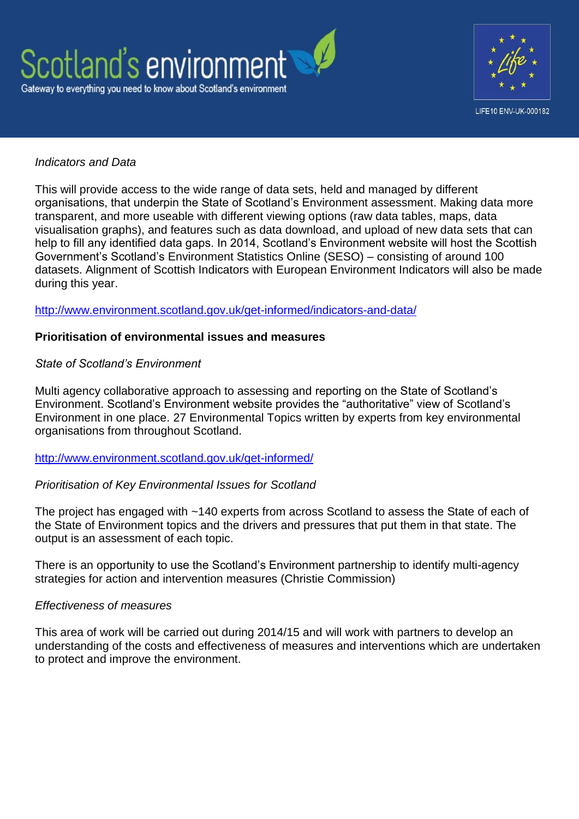



#### *Indicators and Data*

This will provide access to the wide range of data sets, held and managed by different organisations, that underpin the State of Scotland's Environment assessment. Making data more transparent, and more useable with different viewing options (raw data tables, maps, data visualisation graphs), and features such as data download, and upload of new data sets that can help to fill any identified data gaps. In 2014, Scotland's Environment website will host the Scottish Government's Scotland's Environment Statistics Online (SESO) – consisting of around 100 datasets. Alignment of Scottish Indicators with European Environment Indicators will also be made during this year.

#### <http://www.environment.scotland.gov.uk/get-informed/indicators-and-data/>

#### **Prioritisation of environmental issues and measures**

#### *State of Scotland's Environment*

Multi agency collaborative approach to assessing and reporting on the State of Scotland's Environment. Scotland's Environment website provides the "authoritative" view of Scotland's Environment in one place. 27 Environmental Topics written by experts from key environmental organisations from throughout Scotland.

#### <http://www.environment.scotland.gov.uk/get-informed/>

#### *Prioritisation of Key Environmental Issues for Scotland*

The project has engaged with ~140 experts from across Scotland to assess the State of each of the State of Environment topics and the drivers and pressures that put them in that state. The output is an assessment of each topic.

There is an opportunity to use the Scotland's Environment partnership to identify multi-agency strategies for action and intervention measures (Christie Commission)

#### *Effectiveness of measures*

This area of work will be carried out during 2014/15 and will work with partners to develop an understanding of the costs and effectiveness of measures and interventions which are undertaken to protect and improve the environment.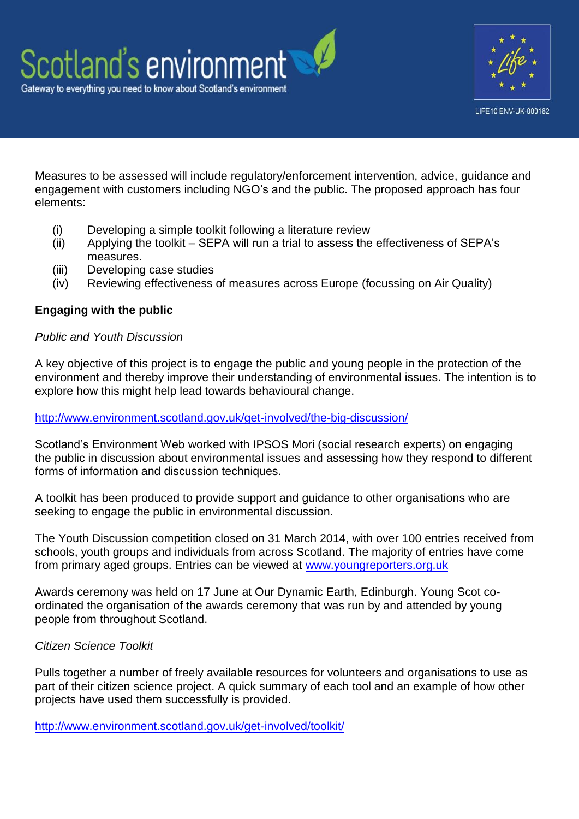

Measures to be assessed will include regulatory/enforcement intervention, advice, guidance and engagement with customers including NGO's and the public. The proposed approach has four elements:

- (i) Developing a simple toolkit following a literature review
- (ii) Applying the toolkit SEPA will run a trial to assess the effectiveness of SEPA's measures.
- (iii) Developing case studies
- (iv) Reviewing effectiveness of measures across Europe (focussing on Air Quality)

# **Engaging with the public**

#### *Public and Youth Discussion*

A key objective of this project is to engage the public and young people in the protection of the environment and thereby improve their understanding of environmental issues. The intention is to explore how this might help lead towards behavioural change.

#### <http://www.environment.scotland.gov.uk/get-involved/the-big-discussion/>

Scotland's Environment Web worked with IPSOS Mori (social research experts) on engaging the public in discussion about environmental issues and assessing how they respond to different forms of information and discussion techniques.

A toolkit has been produced to provide support and guidance to other organisations who are seeking to engage the public in environmental discussion.

The Youth Discussion competition closed on 31 March 2014, with over 100 entries received from schools, youth groups and individuals from across Scotland. The majority of entries have come from primary aged groups. Entries can be viewed at [www.youngreporters.org.uk](http://www.youngreporters.org.uk/)

Awards ceremony was held on 17 June at Our Dynamic Earth, Edinburgh. Young Scot coordinated the organisation of the awards ceremony that was run by and attended by young people from throughout Scotland.

# *Citizen Science Toolkit*

Pulls together a number of freely available resources for volunteers and organisations to use as part of their citizen science project. A quick summary of each tool and an example of how other projects have used them successfully is provided.

<http://www.environment.scotland.gov.uk/get-involved/toolkit/>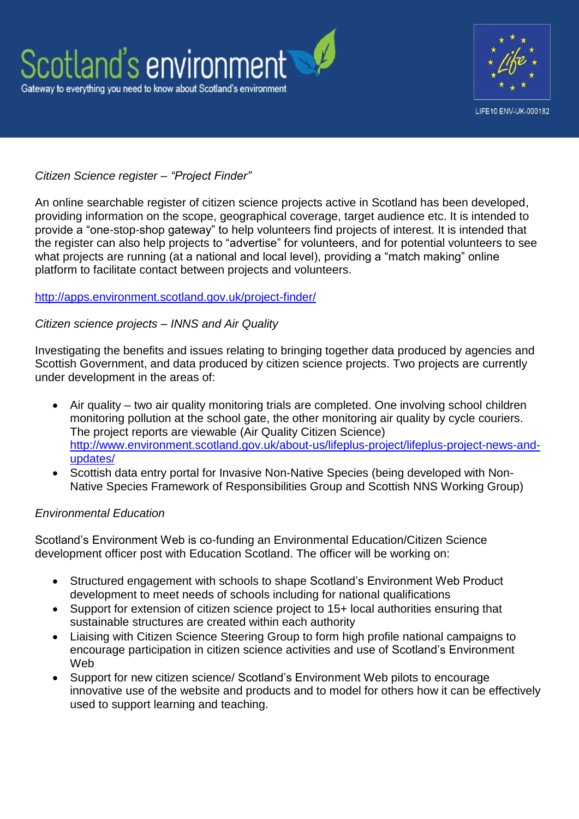



# *Citizen Science register – "Project Finder"*

An online searchable register of citizen science projects active in Scotland has been developed, providing information on the scope, geographical coverage, target audience etc. It is intended to provide a "one-stop-shop gateway" to help volunteers find projects of interest. It is intended that the register can also help projects to "advertise" for volunteers, and for potential volunteers to see what projects are running (at a national and local level), providing a "match making" online platform to facilitate contact between projects and volunteers.

#### <http://apps.environment.scotland.gov.uk/project-finder/>

#### *Citizen science projects – INNS and Air Quality*

Investigating the benefits and issues relating to bringing together data produced by agencies and Scottish Government, and data produced by citizen science projects. Two projects are currently under development in the areas of:

- Air quality two air quality monitoring trials are completed. One involving school children monitoring pollution at the school gate, the other monitoring air quality by cycle couriers. The project reports are viewable (Air Quality Citizen Science) [http://www.environment.scotland.gov.uk/about-us/lifeplus-project/lifeplus-project-news-and](http://www.environment.scotland.gov.uk/about-us/lifeplus-project/lifeplus-project-news-and-updates/)[updates/](http://www.environment.scotland.gov.uk/about-us/lifeplus-project/lifeplus-project-news-and-updates/)
- Scottish data entry portal for Invasive Non-Native Species (being developed with Non-Native Species Framework of Responsibilities Group and Scottish NNS Working Group)

#### *Environmental Education*

Scotland's Environment Web is co-funding an Environmental Education/Citizen Science development officer post with Education Scotland. The officer will be working on:

- Structured engagement with schools to shape Scotland's Environment Web Product development to meet needs of schools including for national qualifications
- Support for extension of citizen science project to 15+ local authorities ensuring that sustainable structures are created within each authority
- Liaising with Citizen Science Steering Group to form high profile national campaigns to encourage participation in citizen science activities and use of Scotland's Environment Web
- Support for new citizen science/ Scotland's Environment Web pilots to encourage innovative use of the website and products and to model for others how it can be effectively used to support learning and teaching.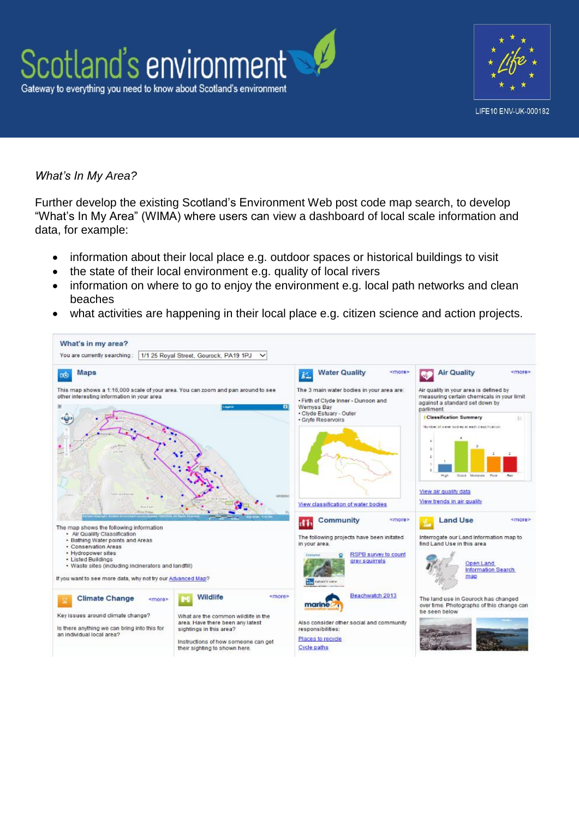



#### *What's In My Area?*

Further develop the existing Scotland's Environment Web post code map search, to develop "What's In My Area" (WIMA) where users can view a dashboard of local scale information and data, for example:

- information about their local place e.g. outdoor spaces or historical buildings to visit
- the state of their local environment e.g. quality of local rivers
- information on where to go to enjoy the environment e.g. local path networks and clean beaches
- what activities are happening in their local place e.g. citizen science and action projects.